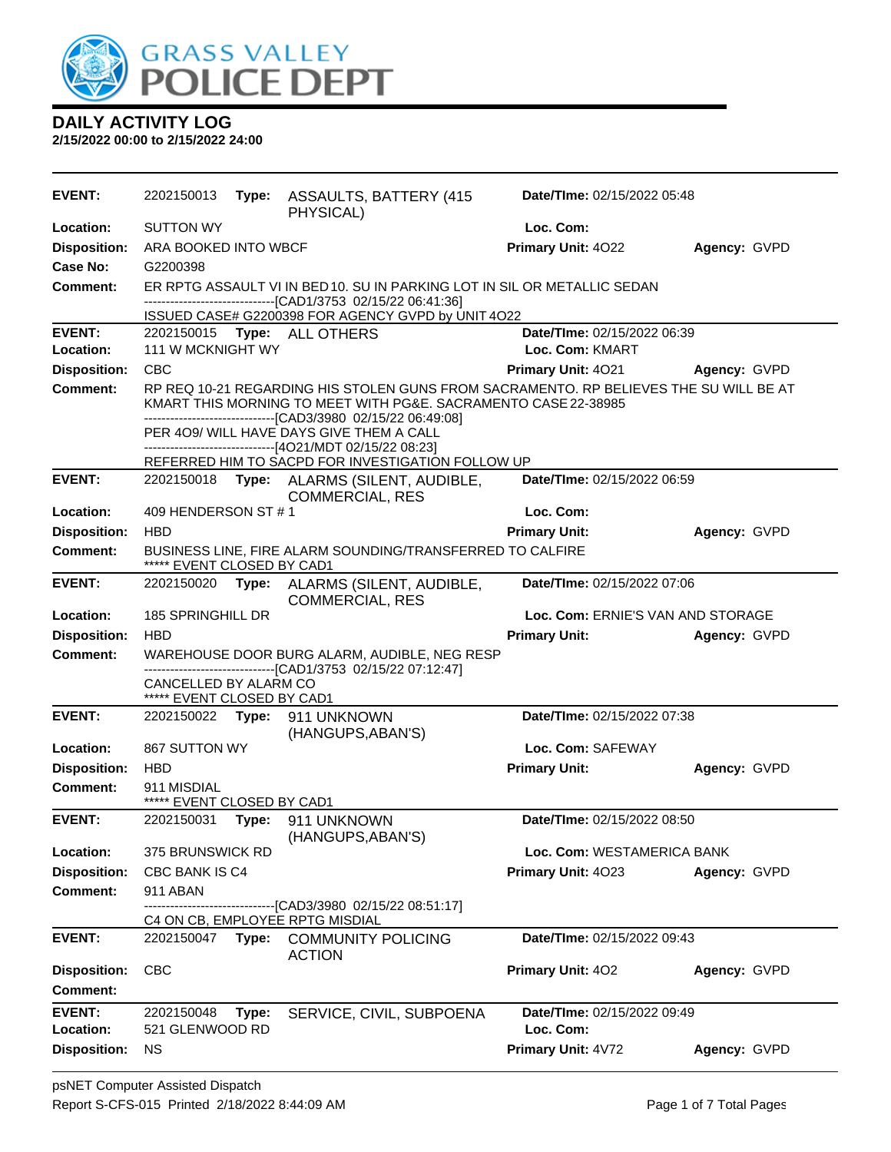

| <b>EVENT:</b>       | 2202150013                                          |       | Type: ASSAULTS, BATTERY (415)<br>PHYSICAL)                                                                                               | Date/TIme: 02/15/2022 05:48       |              |
|---------------------|-----------------------------------------------------|-------|------------------------------------------------------------------------------------------------------------------------------------------|-----------------------------------|--------------|
| <b>Location:</b>    | <b>SUTTON WY</b>                                    |       |                                                                                                                                          | Loc. Com:                         |              |
| <b>Disposition:</b> | ARA BOOKED INTO WBCF                                |       |                                                                                                                                          | Primary Unit: 4022                | Agency: GVPD |
| Case No:            | G2200398                                            |       |                                                                                                                                          |                                   |              |
| Comment:            |                                                     |       | ER RPTG ASSAULT VI IN BED 10. SU IN PARKING LOT IN SIL OR METALLIC SEDAN<br>-------------------------------[CAD1/3753 02/15/22 06:41:36] |                                   |              |
| <b>EVENT:</b>       |                                                     |       | ISSUED CASE# G2200398 FOR AGENCY GVPD by UNIT 4O22                                                                                       | Date/TIme: 02/15/2022 06:39       |              |
| <b>Location:</b>    | 111 W MCKNIGHT WY                                   |       | 2202150015 Type: ALL OTHERS                                                                                                              | Loc. Com: KMART                   |              |
| <b>Disposition:</b> | <b>CBC</b>                                          |       |                                                                                                                                          | <b>Primary Unit: 4021</b>         | Agency: GVPD |
| <b>Comment:</b>     |                                                     |       | RP REQ 10-21 REGARDING HIS STOLEN GUNS FROM SACRAMENTO. RP BELIEVES THE SU WILL BE AT                                                    |                                   |              |
|                     |                                                     |       | KMART THIS MORNING TO MEET WITH PG&E. SACRAMENTO CASE 22-38985<br>----------------------------[CAD3/3980_02/15/22 06:49:08]              |                                   |              |
|                     |                                                     |       | PER 409/ WILL HAVE DAYS GIVE THEM A CALL                                                                                                 |                                   |              |
|                     |                                                     |       | -----------------------[4O21/MDT 02/15/22 08:23]<br>REFERRED HIM TO SACPD FOR INVESTIGATION FOLLOW UP                                    |                                   |              |
| <b>EVENT:</b>       | 2202150018                                          |       | Type: ALARMS (SILENT, AUDIBLE,<br><b>COMMERCIAL, RES</b>                                                                                 | Date/TIme: 02/15/2022 06:59       |              |
| Location:           | 409 HENDERSON ST #1                                 |       |                                                                                                                                          | Loc. Com:                         |              |
| <b>Disposition:</b> | <b>HBD</b>                                          |       |                                                                                                                                          | <b>Primary Unit:</b>              | Agency: GVPD |
| <b>Comment:</b>     | ***** EVENT CLOSED BY CAD1                          |       | BUSINESS LINE, FIRE ALARM SOUNDING/TRANSFERRED TO CALFIRE                                                                                |                                   |              |
| <b>EVENT:</b>       | 2202150020 Type:                                    |       | ALARMS (SILENT, AUDIBLE,<br><b>COMMERCIAL, RES</b>                                                                                       | Date/TIme: 02/15/2022 07:06       |              |
| <b>Location:</b>    | 185 SPRINGHILL DR                                   |       |                                                                                                                                          | Loc. Com: ERNIE'S VAN AND STORAGE |              |
| <b>Disposition:</b> | <b>HBD</b>                                          |       |                                                                                                                                          | <b>Primary Unit:</b>              | Agency: GVPD |
| <b>Comment:</b>     |                                                     |       | WAREHOUSE DOOR BURG ALARM, AUDIBLE, NEG RESP<br>-------------------------------[CAD1/3753 02/15/22 07:12:47]                             |                                   |              |
|                     | CANCELLED BY ALARM CO<br>***** EVENT CLOSED BY CAD1 |       |                                                                                                                                          |                                   |              |
| <b>EVENT:</b>       |                                                     |       | 2202150022 Type: 911 UNKNOWN<br>(HANGUPS, ABAN'S)                                                                                        | Date/TIme: 02/15/2022 07:38       |              |
| Location:           | 867 SUTTON WY                                       |       |                                                                                                                                          | Loc. Com: SAFEWAY                 |              |
| <b>Disposition:</b> | <b>HBD</b>                                          |       |                                                                                                                                          | <b>Primary Unit:</b>              | Agency: GVPD |
| <b>Comment:</b>     | 911 MISDIAL<br>***** EVENT CLOSED BY CAD1           |       |                                                                                                                                          |                                   |              |
| <b>EVENT:</b>       | 2202150031                                          |       | Type: 911 UNKNOWN<br>(HANGUPS, ABAN'S)                                                                                                   | Date/TIme: 02/15/2022 08:50       |              |
| Location:           | <b>375 BRUNSWICK RD</b>                             |       |                                                                                                                                          | Loc. Com: WESTAMERICA BANK        |              |
| <b>Disposition:</b> | CBC BANK IS C4                                      |       |                                                                                                                                          | Primary Unit: 4023                | Agency: GVPD |
| Comment:            | 911 ABAN                                            |       |                                                                                                                                          |                                   |              |
|                     |                                                     |       | --------------[CAD3/3980 02/15/22 08:51:17]<br>C4 ON CB, EMPLOYEE RPTG MISDIAL                                                           |                                   |              |
| <b>EVENT:</b>       | 2202150047                                          | Type: | <b>COMMUNITY POLICING</b><br><b>ACTION</b>                                                                                               | Date/TIme: 02/15/2022 09:43       |              |
| <b>Disposition:</b> | <b>CBC</b>                                          |       |                                                                                                                                          | Primary Unit: 402                 | Agency: GVPD |
| <b>Comment:</b>     |                                                     |       |                                                                                                                                          |                                   |              |
| <b>EVENT:</b>       | 2202150048                                          | Type: | SERVICE, CIVIL, SUBPOENA                                                                                                                 | Date/TIme: 02/15/2022 09:49       |              |
| Location:           | 521 GLENWOOD RD                                     |       |                                                                                                                                          | Loc. Com:                         |              |
| <b>Disposition:</b> | <b>NS</b>                                           |       |                                                                                                                                          | Primary Unit: 4V72                | Agency: GVPD |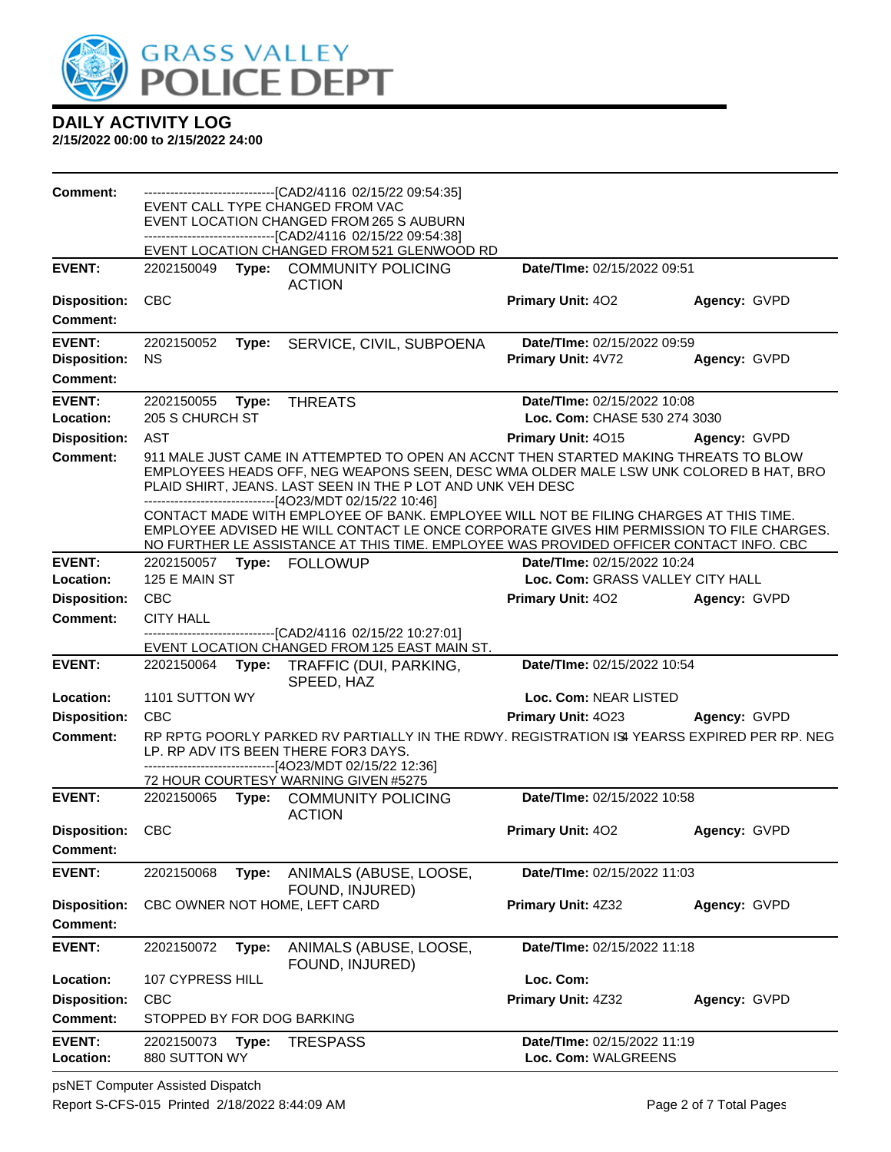

| <b>Comment:</b>                                         |                             |       | --------------------------------[CAD2/4116 02/15/22 09:54:35]<br>EVENT CALL TYPE CHANGED FROM VAC<br>EVENT LOCATION CHANGED FROM 265 S AUBURN<br>-------------------------------[CAD2/4116 02/15/22 09:54:38]<br>EVENT LOCATION CHANGED FROM 521 GLENWOOD RD                                                                                                                                                                                                                                  |                                                                 |              |
|---------------------------------------------------------|-----------------------------|-------|-----------------------------------------------------------------------------------------------------------------------------------------------------------------------------------------------------------------------------------------------------------------------------------------------------------------------------------------------------------------------------------------------------------------------------------------------------------------------------------------------|-----------------------------------------------------------------|--------------|
| <b>EVENT:</b>                                           | 2202150049                  |       | Type: COMMUNITY POLICING<br><b>ACTION</b>                                                                                                                                                                                                                                                                                                                                                                                                                                                     | Date/TIme: 02/15/2022 09:51                                     |              |
| <b>Disposition:</b><br><b>Comment:</b>                  | <b>CBC</b>                  |       |                                                                                                                                                                                                                                                                                                                                                                                                                                                                                               | Primary Unit: 402                                               | Agency: GVPD |
| <b>EVENT:</b><br><b>Disposition:</b><br><b>Comment:</b> | 2202150052<br><b>NS</b>     | Type: | SERVICE, CIVIL, SUBPOENA                                                                                                                                                                                                                                                                                                                                                                                                                                                                      | Date/TIme: 02/15/2022 09:59<br>Primary Unit: 4V72               | Agency: GVPD |
| <b>EVENT:</b>                                           | 2202150055                  | Type: | <b>THREATS</b>                                                                                                                                                                                                                                                                                                                                                                                                                                                                                | Date/TIme: 02/15/2022 10:08                                     |              |
| Location:                                               | 205 S CHURCH ST             |       |                                                                                                                                                                                                                                                                                                                                                                                                                                                                                               | Loc. Com: CHASE 530 274 3030                                    |              |
| <b>Disposition:</b>                                     | AST                         |       |                                                                                                                                                                                                                                                                                                                                                                                                                                                                                               | <b>Primary Unit: 4015</b>                                       | Agency: GVPD |
| <b>Comment:</b>                                         |                             |       | 911 MALE JUST CAME IN ATTEMPTED TO OPEN AN ACCNT THEN STARTED MAKING THREATS TO BLOW<br>EMPLOYEES HEADS OFF, NEG WEAPONS SEEN, DESC WMA OLDER MALE LSW UNK COLORED B HAT, BRO<br>PLAID SHIRT, JEANS. LAST SEEN IN THE P LOT AND UNK VEH DESC<br>-------------------------------[4O23/MDT 02/15/22 10:46]<br>CONTACT MADE WITH EMPLOYEE OF BANK. EMPLOYEE WILL NOT BE FILING CHARGES AT THIS TIME.<br>EMPLOYEE ADVISED HE WILL CONTACT LE ONCE CORPORATE GIVES HIM PERMISSION TO FILE CHARGES. |                                                                 |              |
|                                                         |                             |       | NO FURTHER LE ASSISTANCE AT THIS TIME. EMPLOYEE WAS PROVIDED OFFICER CONTACT INFO. CBC                                                                                                                                                                                                                                                                                                                                                                                                        |                                                                 |              |
| <b>EVENT:</b><br>Location:                              | 125 E MAIN ST               |       |                                                                                                                                                                                                                                                                                                                                                                                                                                                                                               | Date/TIme: 02/15/2022 10:24<br>Loc. Com: GRASS VALLEY CITY HALL |              |
| <b>Disposition:</b>                                     | <b>CBC</b>                  |       |                                                                                                                                                                                                                                                                                                                                                                                                                                                                                               | <b>Primary Unit: 402</b><br>Agency: GVPD                        |              |
| <b>Comment:</b>                                         | <b>CITY HALL</b>            |       |                                                                                                                                                                                                                                                                                                                                                                                                                                                                                               |                                                                 |              |
|                                                         |                             |       | -------------------------[CAD2/4116 02/15/22 10:27:01]<br>EVENT LOCATION CHANGED FROM 125 EAST MAIN ST.                                                                                                                                                                                                                                                                                                                                                                                       |                                                                 |              |
| <b>EVENT:</b>                                           | 2202150064                  |       | Type: TRAFFIC (DUI, PARKING,                                                                                                                                                                                                                                                                                                                                                                                                                                                                  | Date/TIme: 02/15/2022 10:54                                     |              |
|                                                         |                             |       | SPEED, HAZ                                                                                                                                                                                                                                                                                                                                                                                                                                                                                    |                                                                 |              |
| Location:                                               | 1101 SUTTON WY              |       |                                                                                                                                                                                                                                                                                                                                                                                                                                                                                               | Loc. Com: NEAR LISTED                                           |              |
| <b>Disposition:</b>                                     | <b>CBC</b>                  |       |                                                                                                                                                                                                                                                                                                                                                                                                                                                                                               | Primary Unit: 4023                                              | Agency: GVPD |
| <b>Comment:</b>                                         |                             |       | RP RPTG POORLY PARKED RV PARTIALLY IN THE RDWY. REGISTRATION IS YEARSS EXPIRED PER RP. NEG<br>LP. RP ADV ITS BEEN THERE FOR3 DAYS.<br>------------------------------[4O23/MDT 02/15/22 12:36]                                                                                                                                                                                                                                                                                                 |                                                                 |              |
| <b>EVENT:</b>                                           | 2202150065 Type:            |       | 72 HOUR COURTESY WARNING GIVEN #5275<br><b>COMMUNITY POLICING</b>                                                                                                                                                                                                                                                                                                                                                                                                                             | Date/TIme: 02/15/2022 10:58                                     |              |
| Disposition: CBC                                        |                             |       | <b>ACTION</b>                                                                                                                                                                                                                                                                                                                                                                                                                                                                                 | <b>Primary Unit: 402</b>                                        | Agency: GVPD |
| <b>Comment:</b>                                         |                             |       |                                                                                                                                                                                                                                                                                                                                                                                                                                                                                               |                                                                 |              |
| <b>EVENT:</b>                                           | 2202150068                  | Type: | ANIMALS (ABUSE, LOOSE,<br>FOUND, INJURED)                                                                                                                                                                                                                                                                                                                                                                                                                                                     | Date/TIme: 02/15/2022 11:03                                     |              |
| <b>Disposition:</b>                                     |                             |       | CBC OWNER NOT HOME, LEFT CARD                                                                                                                                                                                                                                                                                                                                                                                                                                                                 | Primary Unit: 4Z32                                              | Agency: GVPD |
| <b>Comment:</b>                                         |                             |       |                                                                                                                                                                                                                                                                                                                                                                                                                                                                                               |                                                                 |              |
| <b>EVENT:</b>                                           | 2202150072                  | Type: | ANIMALS (ABUSE, LOOSE,<br>FOUND, INJURED)                                                                                                                                                                                                                                                                                                                                                                                                                                                     | Date/TIme: 02/15/2022 11:18                                     |              |
| Location:                                               | 107 CYPRESS HILL            |       |                                                                                                                                                                                                                                                                                                                                                                                                                                                                                               | Loc. Com:                                                       |              |
| <b>Disposition:</b>                                     | <b>CBC</b>                  |       |                                                                                                                                                                                                                                                                                                                                                                                                                                                                                               | Primary Unit: 4Z32                                              | Agency: GVPD |
| <b>Comment:</b>                                         | STOPPED BY FOR DOG BARKING  |       |                                                                                                                                                                                                                                                                                                                                                                                                                                                                                               |                                                                 |              |
| <b>EVENT:</b><br>Location:                              | 2202150073<br>880 SUTTON WY | Type: | <b>TRESPASS</b>                                                                                                                                                                                                                                                                                                                                                                                                                                                                               | Date/TIme: 02/15/2022 11:19<br>Loc. Com: WALGREENS              |              |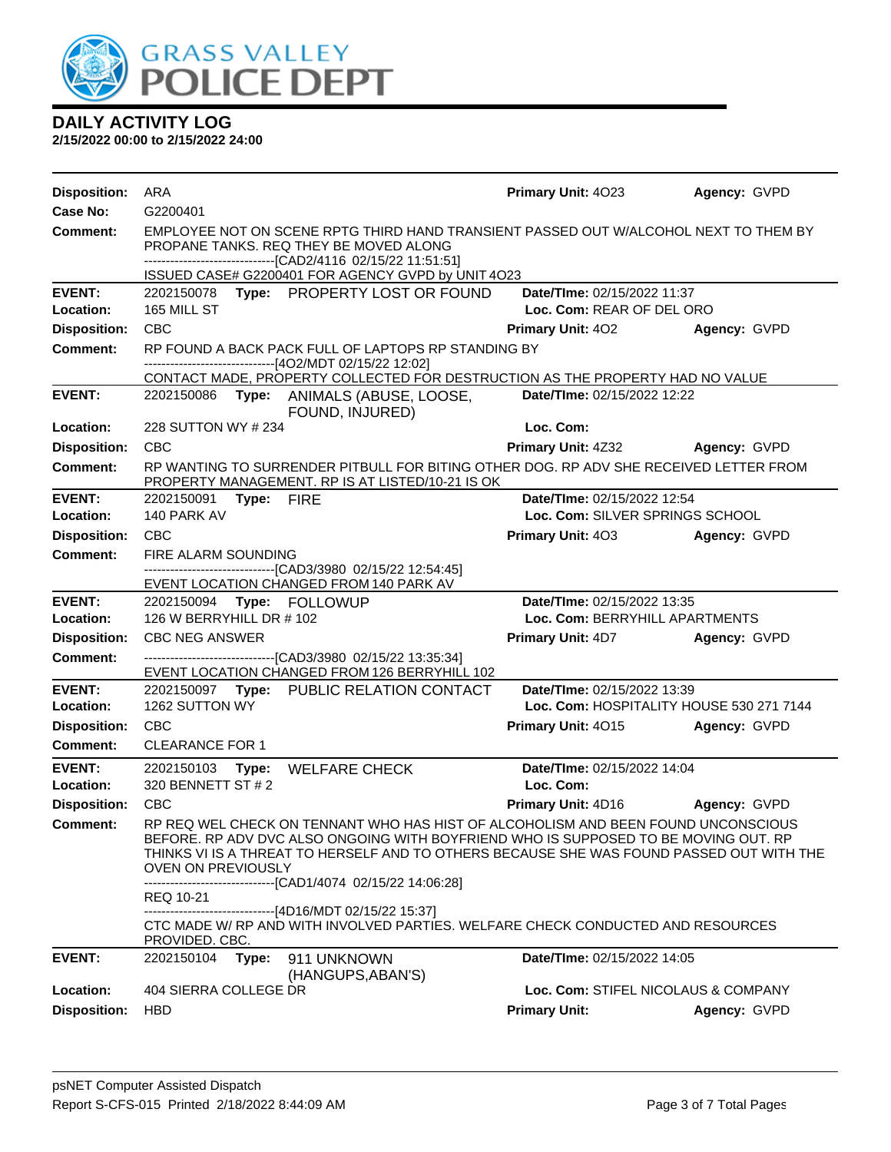

| <b>Disposition:</b>        | ARA                                                                                                                                                                                            |                                                                                                                                                                                                                                                                                                                                      | <b>Primary Unit: 4023</b>                                               | Agency: GVPD        |  |
|----------------------------|------------------------------------------------------------------------------------------------------------------------------------------------------------------------------------------------|--------------------------------------------------------------------------------------------------------------------------------------------------------------------------------------------------------------------------------------------------------------------------------------------------------------------------------------|-------------------------------------------------------------------------|---------------------|--|
| Case No:                   | G2200401                                                                                                                                                                                       |                                                                                                                                                                                                                                                                                                                                      |                                                                         |                     |  |
| <b>Comment:</b>            | EMPLOYEE NOT ON SCENE RPTG THIRD HAND TRANSIENT PASSED OUT W/ALCOHOL NEXT TO THEM BY<br>PROPANE TANKS. REQ THEY BE MOVED ALONG<br>-------------------------------[CAD2/4116 02/15/22 11:51:51] |                                                                                                                                                                                                                                                                                                                                      |                                                                         |                     |  |
|                            |                                                                                                                                                                                                | ISSUED CASE# G2200401 FOR AGENCY GVPD by UNIT 4O23                                                                                                                                                                                                                                                                                   |                                                                         |                     |  |
| <b>EVENT:</b><br>Location: | 165 MILL ST                                                                                                                                                                                    | 2202150078 Type: PROPERTY LOST OR FOUND                                                                                                                                                                                                                                                                                              | Date/TIme: 02/15/2022 11:37<br>Loc. Com: REAR OF DEL ORO                |                     |  |
| <b>Disposition:</b>        | <b>CBC</b>                                                                                                                                                                                     |                                                                                                                                                                                                                                                                                                                                      | <b>Primary Unit: 402</b>                                                | Agency: GVPD        |  |
| <b>Comment:</b>            | RP FOUND A BACK PACK FULL OF LAPTOPS RP STANDING BY<br>------[4O2/MDT 02/15/22 12:02]                                                                                                          |                                                                                                                                                                                                                                                                                                                                      |                                                                         |                     |  |
|                            |                                                                                                                                                                                                | CONTACT MADE, PROPERTY COLLECTED FOR DESTRUCTION AS THE PROPERTY HAD NO VALUE                                                                                                                                                                                                                                                        |                                                                         |                     |  |
| <b>EVENT:</b>              |                                                                                                                                                                                                | 2202150086 Type: ANIMALS (ABUSE, LOOSE,<br>FOUND, INJURED)                                                                                                                                                                                                                                                                           | Date/TIme: 02/15/2022 12:22                                             |                     |  |
| Location:                  | 228 SUTTON WY # 234                                                                                                                                                                            |                                                                                                                                                                                                                                                                                                                                      | Loc. Com:                                                               |                     |  |
| <b>Disposition:</b>        | <b>CBC</b>                                                                                                                                                                                     |                                                                                                                                                                                                                                                                                                                                      | <b>Primary Unit: 4Z32</b>                                               | Agency: GVPD        |  |
| Comment:                   |                                                                                                                                                                                                | RP WANTING TO SURRENDER PITBULL FOR BITING OTHER DOG. RP ADV SHE RECEIVED LETTER FROM<br>PROPERTY MANAGEMENT. RP IS AT LISTED/10-21 IS OK                                                                                                                                                                                            |                                                                         |                     |  |
| <b>EVENT:</b>              | 2202150091 Type: FIRE                                                                                                                                                                          |                                                                                                                                                                                                                                                                                                                                      | Date/TIme: 02/15/2022 12:54                                             |                     |  |
| Location:                  | 140 PARK AV                                                                                                                                                                                    |                                                                                                                                                                                                                                                                                                                                      | Loc. Com: SILVER SPRINGS SCHOOL                                         |                     |  |
| <b>Disposition:</b>        | <b>CBC</b>                                                                                                                                                                                     |                                                                                                                                                                                                                                                                                                                                      | <b>Primary Unit: 403</b>                                                | Agency: GVPD        |  |
| <b>Comment:</b>            | FIRE ALARM SOUNDING                                                                                                                                                                            |                                                                                                                                                                                                                                                                                                                                      |                                                                         |                     |  |
|                            |                                                                                                                                                                                                | ----------------------[CAD3/3980 02/15/22 12:54:45]<br>EVENT LOCATION CHANGED FROM 140 PARK AV                                                                                                                                                                                                                                       |                                                                         |                     |  |
| <b>EVENT:</b><br>Location: | 2202150094 Type: FOLLOWUP<br>Date/TIme: 02/15/2022 13:35<br>126 W BERRYHILL DR # 102<br>Loc. Com: BERRYHILL APARTMENTS                                                                         |                                                                                                                                                                                                                                                                                                                                      |                                                                         |                     |  |
| <b>Disposition:</b>        | <b>CBC NEG ANSWER</b>                                                                                                                                                                          |                                                                                                                                                                                                                                                                                                                                      | <b>Primary Unit: 4D7</b>                                                | Agency: GVPD        |  |
| <b>Comment:</b>            |                                                                                                                                                                                                | -------------------------------[CAD3/3980_02/15/22 13:35:34]                                                                                                                                                                                                                                                                         |                                                                         |                     |  |
|                            |                                                                                                                                                                                                | EVENT LOCATION CHANGED FROM 126 BERRYHILL 102                                                                                                                                                                                                                                                                                        |                                                                         |                     |  |
| <b>EVENT:</b><br>Location: | 1262 SUTTON WY                                                                                                                                                                                 | 2202150097 Type: PUBLIC RELATION CONTACT                                                                                                                                                                                                                                                                                             | Date/TIme: 02/15/2022 13:39<br>Loc. Com: HOSPITALITY HOUSE 530 271 7144 |                     |  |
| <b>Disposition:</b>        | <b>CBC</b>                                                                                                                                                                                     |                                                                                                                                                                                                                                                                                                                                      | Primary Unit: 4015                                                      | Agency: GVPD        |  |
| Comment:                   | <b>CLEARANCE FOR 1</b>                                                                                                                                                                         |                                                                                                                                                                                                                                                                                                                                      |                                                                         |                     |  |
| <b>EVENT:</b>              | 2202150103                                                                                                                                                                                     | Type: WELFARE CHECK                                                                                                                                                                                                                                                                                                                  | Date/TIme: 02/15/2022 14:04                                             |                     |  |
| Location:                  | 320 BENNETT ST # 2                                                                                                                                                                             |                                                                                                                                                                                                                                                                                                                                      | Loc. Com:                                                               |                     |  |
| <b>Disposition:</b>        | CBC                                                                                                                                                                                            |                                                                                                                                                                                                                                                                                                                                      | Primary Unit: 4D16                                                      | <b>Agency: GVPD</b> |  |
| <b>Comment:</b>            | OVEN ON PREVIOUSLY                                                                                                                                                                             | RP REQ WEL CHECK ON TENNANT WHO HAS HIST OF ALCOHOLISM AND BEEN FOUND UNCONSCIOUS<br>BEFORE. RP ADV DVC ALSO ONGOING WITH BOYFRIEND WHO IS SUPPOSED TO BE MOVING OUT. RP<br>THINKS VI IS A THREAT TO HERSELF AND TO OTHERS BECAUSE SHE WAS FOUND PASSED OUT WITH THE<br>-------------------------------[CAD1/4074_02/15/22 14:06:28] |                                                                         |                     |  |
|                            | REQ 10-21                                                                                                                                                                                      |                                                                                                                                                                                                                                                                                                                                      |                                                                         |                     |  |
|                            | PROVIDED. CBC.                                                                                                                                                                                 | -------------------------------[4D16/MDT 02/15/22 15:37]<br>CTC MADE W/ RP AND WITH INVOLVED PARTIES. WELFARE CHECK CONDUCTED AND RESOURCES                                                                                                                                                                                          |                                                                         |                     |  |
| <b>EVENT:</b>              | 2202150104<br>Type:                                                                                                                                                                            | 911 UNKNOWN<br>(HANGUPS, ABAN'S)                                                                                                                                                                                                                                                                                                     | <b>Date/Time: 02/15/2022 14:05</b>                                      |                     |  |
| Location:                  | 404 SIERRA COLLEGE DR                                                                                                                                                                          |                                                                                                                                                                                                                                                                                                                                      | Loc. Com: STIFEL NICOLAUS & COMPANY                                     |                     |  |
| <b>Disposition:</b>        | <b>HBD</b>                                                                                                                                                                                     |                                                                                                                                                                                                                                                                                                                                      | <b>Primary Unit:</b>                                                    | Agency: GVPD        |  |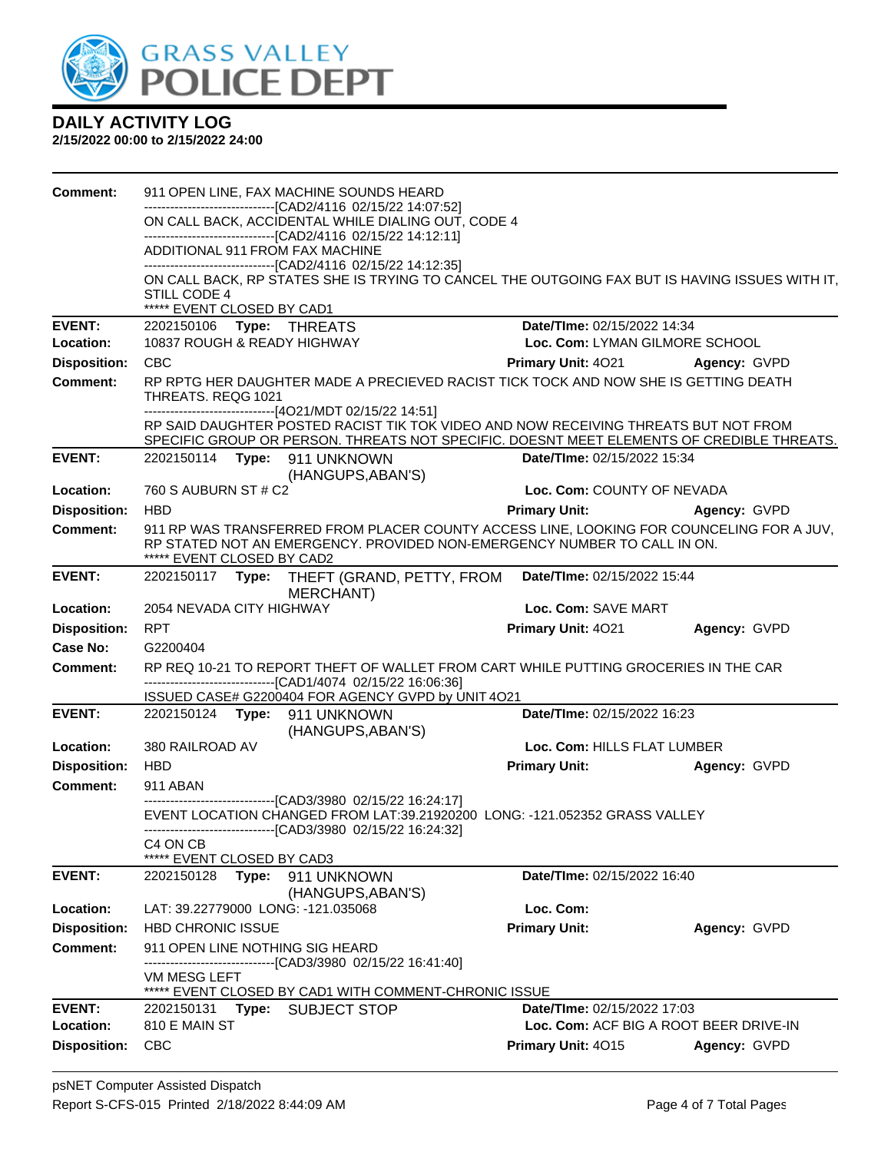

| <b>Comment:</b>                        |                                                              |                                                                                                  | 911 OPEN LINE, FAX MACHINE SOUNDS HEARD                                                                            |                                                                                                |                                        |  |  |
|----------------------------------------|--------------------------------------------------------------|--------------------------------------------------------------------------------------------------|--------------------------------------------------------------------------------------------------------------------|------------------------------------------------------------------------------------------------|----------------------------------------|--|--|
|                                        |                                                              |                                                                                                  | -------------------------------[CAD2/4116 02/15/22 14:07:52]<br>ON CALL BACK, ACCIDENTAL WHILE DIALING OUT, CODE 4 |                                                                                                |                                        |  |  |
|                                        | -------------------------------[CAD2/4116 02/15/22 14:12:11] |                                                                                                  |                                                                                                                    |                                                                                                |                                        |  |  |
|                                        |                                                              | ADDITIONAL 911 FROM FAX MACHINE<br>--------------------------------[CAD2/4116 02/15/22 14:12:35] |                                                                                                                    |                                                                                                |                                        |  |  |
|                                        |                                                              |                                                                                                  |                                                                                                                    | ON CALL BACK, RP STATES SHE IS TRYING TO CANCEL THE OUTGOING FAX BUT IS HAVING ISSUES WITH IT, |                                        |  |  |
|                                        | STILL CODE 4                                                 |                                                                                                  |                                                                                                                    |                                                                                                |                                        |  |  |
| <b>EVENT:</b>                          | ***** EVENT CLOSED BY CAD1<br>2202150106 Type: THREATS       |                                                                                                  |                                                                                                                    | Date/TIme: 02/15/2022 14:34                                                                    |                                        |  |  |
| Location:                              | 10837 ROUGH & READY HIGHWAY                                  |                                                                                                  |                                                                                                                    | Loc. Com: LYMAN GILMORE SCHOOL                                                                 |                                        |  |  |
| <b>Disposition:</b>                    | <b>CBC</b>                                                   |                                                                                                  |                                                                                                                    | <b>Primary Unit: 4021</b><br>Agency: GVPD                                                      |                                        |  |  |
| <b>Comment:</b>                        |                                                              |                                                                                                  |                                                                                                                    | RP RPTG HER DAUGHTER MADE A PRECIEVED RACIST TICK TOCK AND NOW SHE IS GETTING DEATH            |                                        |  |  |
|                                        | THREATS. REQG 1021                                           |                                                                                                  |                                                                                                                    |                                                                                                |                                        |  |  |
|                                        |                                                              |                                                                                                  | ------------------------------[4O21/MDT 02/15/22 14:51]                                                            | RP SAID DAUGHTER POSTED RACIST TIK TOK VIDEO AND NOW RECEIVING THREATS BUT NOT FROM            |                                        |  |  |
|                                        |                                                              |                                                                                                  |                                                                                                                    | SPECIFIC GROUP OR PERSON. THREATS NOT SPECIFIC. DOESNT MEET ELEMENTS OF CREDIBLE THREATS.      |                                        |  |  |
| <b>EVENT:</b>                          |                                                              |                                                                                                  | 2202150114 Type: 911 UNKNOWN                                                                                       | <b>Date/Time: 02/15/2022 15:34</b>                                                             |                                        |  |  |
| Location:                              | 760 S AUBURN ST # C2                                         |                                                                                                  | (HANGUPS, ABAN'S)                                                                                                  | Loc. Com: COUNTY OF NEVADA                                                                     |                                        |  |  |
| <b>Disposition:</b>                    | <b>HBD</b>                                                   |                                                                                                  |                                                                                                                    | <b>Primary Unit:</b>                                                                           | Agency: GVPD                           |  |  |
| Comment:                               |                                                              |                                                                                                  |                                                                                                                    | 911 RP WAS TRANSFERRED FROM PLACER COUNTY ACCESS LINE, LOOKING FOR COUNCELING FOR A JUV,       |                                        |  |  |
|                                        | ***** EVENT CLOSED BY CAD2                                   |                                                                                                  |                                                                                                                    | RP STATED NOT AN EMERGENCY. PROVIDED NON-EMERGENCY NUMBER TO CALL IN ON.                       |                                        |  |  |
| <b>EVENT:</b>                          |                                                              |                                                                                                  | 2202150117 Type: THEFT (GRAND, PETTY, FROM<br>MERCHANT)                                                            | Date/TIme: 02/15/2022 15:44                                                                    |                                        |  |  |
| Location:                              | 2054 NEVADA CITY HIGHWAY                                     |                                                                                                  |                                                                                                                    | Loc. Com: SAVE MART                                                                            |                                        |  |  |
| <b>Disposition:</b>                    | <b>RPT</b>                                                   |                                                                                                  |                                                                                                                    |                                                                                                |                                        |  |  |
|                                        |                                                              |                                                                                                  |                                                                                                                    | Primary Unit: 4021                                                                             | Agency: GVPD                           |  |  |
| Case No:                               | G2200404                                                     |                                                                                                  |                                                                                                                    |                                                                                                |                                        |  |  |
| <b>Comment:</b>                        |                                                              |                                                                                                  |                                                                                                                    | RP REQ 10-21 TO REPORT THEFT OF WALLET FROM CART WHILE PUTTING GROCERIES IN THE CAR            |                                        |  |  |
|                                        |                                                              |                                                                                                  | -------------------------------[CAD1/4074 02/15/22 16:06:36]<br>ISSUED CASE# G2200404 FOR AGENCY GVPD by UNIT 4O21 |                                                                                                |                                        |  |  |
| <b>EVENT:</b>                          |                                                              |                                                                                                  | 2202150124 Type: 911 UNKNOWN                                                                                       | Date/TIme: 02/15/2022 16:23                                                                    |                                        |  |  |
|                                        |                                                              |                                                                                                  | (HANGUPS, ABAN'S)                                                                                                  |                                                                                                |                                        |  |  |
| Location:                              | 380 RAILROAD AV<br><b>HBD</b>                                |                                                                                                  |                                                                                                                    | Loc. Com: HILLS FLAT LUMBER                                                                    |                                        |  |  |
| <b>Disposition:</b><br><b>Comment:</b> | 911 ABAN                                                     |                                                                                                  |                                                                                                                    | <b>Primary Unit:</b>                                                                           | Agency: GVPD                           |  |  |
|                                        |                                                              |                                                                                                  | -------------------------------[CAD3/3980 02/15/22 16:24:17]                                                       | EVENT LOCATION CHANGED FROM LAT:39.21920200 LONG: -121.052352 GRASS VALLEY                     |                                        |  |  |
|                                        | C <sub>4</sub> ON C <sub>B</sub>                             |                                                                                                  | -------------------------------[CAD3/3980 02/15/22 16:24:32]                                                       |                                                                                                |                                        |  |  |
|                                        | ***** EVENT CLOSED BY CAD3                                   |                                                                                                  |                                                                                                                    |                                                                                                |                                        |  |  |
| <b>EVENT:</b>                          | 2202150128                                                   | Type:                                                                                            | 911 UNKNOWN<br>(HANGUPS, ABAN'S)                                                                                   | Date/TIme: 02/15/2022 16:40                                                                    |                                        |  |  |
| Location:                              |                                                              |                                                                                                  | LAT: 39.22779000 LONG: -121.035068                                                                                 | Loc. Com:                                                                                      |                                        |  |  |
| <b>Disposition:</b>                    | <b>HBD CHRONIC ISSUE</b>                                     |                                                                                                  |                                                                                                                    | <b>Primary Unit:</b>                                                                           | Agency: GVPD                           |  |  |
| <b>Comment:</b>                        |                                                              |                                                                                                  | 911 OPEN LINE NOTHING SIG HEARD                                                                                    |                                                                                                |                                        |  |  |
|                                        | <b>VM MESG LEFT</b>                                          |                                                                                                  | -----------------[CAD3/3980 02/15/22 16:41:40]<br>EVENT CLOSED BY CAD1 WITH COMMENT-CHRONIC ISSUE                  |                                                                                                |                                        |  |  |
| <b>EVENT:</b>                          |                                                              |                                                                                                  | 2202150131 Type: SUBJECT STOP                                                                                      | Date/TIme: 02/15/2022 17:03                                                                    |                                        |  |  |
| Location:<br><b>Disposition:</b>       | 810 E MAIN ST                                                |                                                                                                  |                                                                                                                    |                                                                                                | Loc. Com: ACF BIG A ROOT BEER DRIVE-IN |  |  |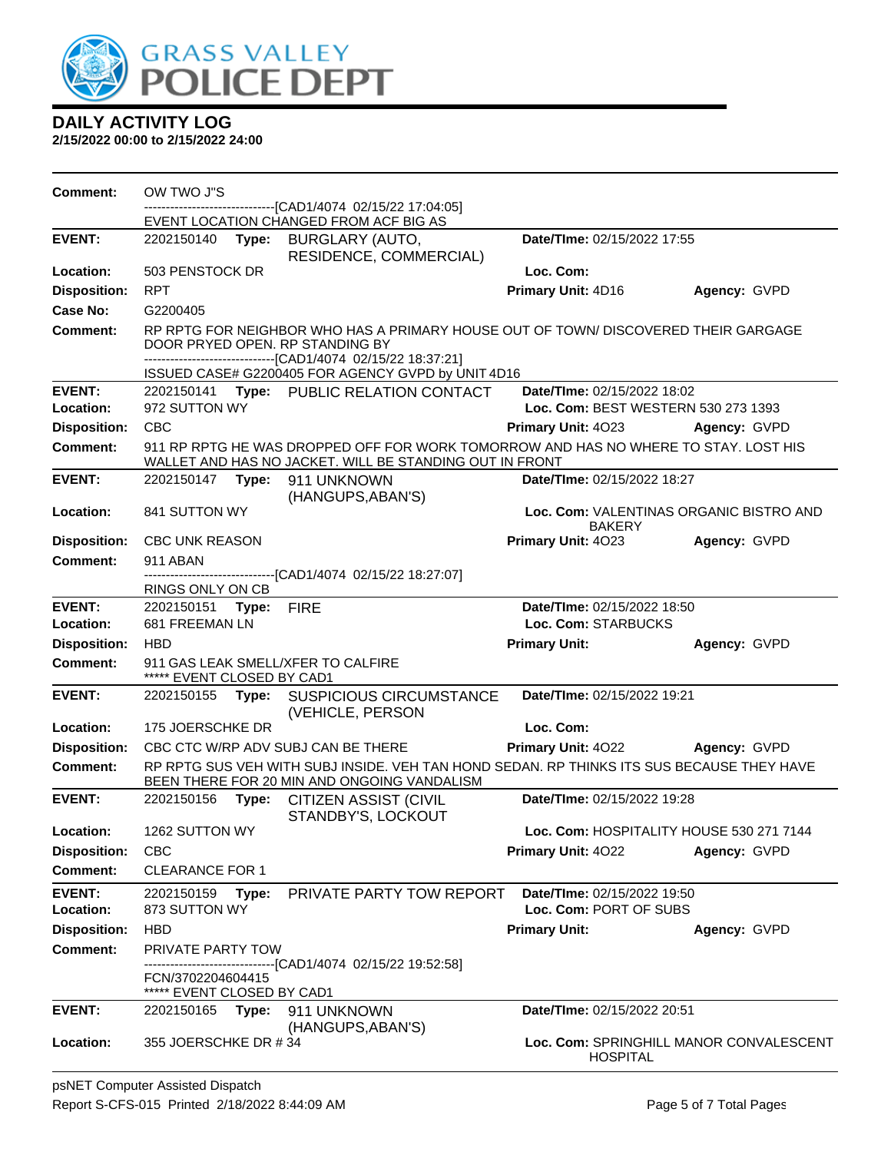

| <b>Comment:</b>            | OW TWO J"S                                                                                                                               |       | -----------------[CAD1/4074_02/15/22 17:04:05]                                                                                                                                         |                                                          |                                         |
|----------------------------|------------------------------------------------------------------------------------------------------------------------------------------|-------|----------------------------------------------------------------------------------------------------------------------------------------------------------------------------------------|----------------------------------------------------------|-----------------------------------------|
|                            |                                                                                                                                          |       | EVENT LOCATION CHANGED FROM ACF BIG AS                                                                                                                                                 |                                                          |                                         |
| <b>EVENT:</b>              | 2202150140                                                                                                                               | Type: | BURGLARY (AUTO,<br>RESIDENCE, COMMERCIAL)                                                                                                                                              | Date/TIme: 02/15/2022 17:55                              |                                         |
| Location:                  | 503 PENSTOCK DR                                                                                                                          |       |                                                                                                                                                                                        | Loc. Com:                                                |                                         |
| <b>Disposition:</b>        | <b>RPT</b>                                                                                                                               |       |                                                                                                                                                                                        | Primary Unit: 4D16                                       | Agency: GVPD                            |
| Case No:                   | G2200405                                                                                                                                 |       |                                                                                                                                                                                        |                                                          |                                         |
| <b>Comment:</b>            |                                                                                                                                          |       | RP RPTG FOR NEIGHBOR WHO HAS A PRIMARY HOUSE OUT OF TOWN/ DISCOVERED THEIR GARGAGE<br>DOOR PRYED OPEN. RP STANDING BY<br>--------------------------------[CAD1/4074 02/15/22 18:37:21] |                                                          |                                         |
| <b>EVENT:</b>              |                                                                                                                                          |       | ISSUED CASE# G2200405 FOR AGENCY GVPD by UNIT 4D16<br>2202150141 Type: PUBLIC RELATION CONTACT                                                                                         | Date/TIme: 02/15/2022 18:02                              |                                         |
| Location:                  | 972 SUTTON WY                                                                                                                            |       |                                                                                                                                                                                        | Loc. Com: BEST WESTERN 530 273 1393                      |                                         |
| <b>Disposition:</b>        | <b>CBC</b>                                                                                                                               |       |                                                                                                                                                                                        | Primary Unit: 4023                                       | Agency: GVPD                            |
| <b>Comment:</b>            |                                                                                                                                          |       | 911 RP RPTG HE WAS DROPPED OFF FOR WORK TOMORROW AND HAS NO WHERE TO STAY. LOST HIS<br>WALLET AND HAS NO JACKET. WILL BE STANDING OUT IN FRONT                                         |                                                          |                                         |
| <b>EVENT:</b>              | 2202150147                                                                                                                               | Type: | 911 UNKNOWN<br>(HANGUPS, ABAN'S)                                                                                                                                                       | Date/TIme: 02/15/2022 18:27                              |                                         |
| Location:                  | 841 SUTTON WY                                                                                                                            |       |                                                                                                                                                                                        | Loc. Com: VALENTINAS ORGANIC BISTRO AND<br><b>BAKERY</b> |                                         |
| <b>Disposition:</b>        | <b>CBC UNK REASON</b>                                                                                                                    |       |                                                                                                                                                                                        | Primary Unit: 4023                                       | Agency: GVPD                            |
| <b>Comment:</b>            | 911 ABAN                                                                                                                                 |       | -------------------------------[CAD1/4074_02/15/22 18:27:07]                                                                                                                           |                                                          |                                         |
|                            | RINGS ONLY ON CB                                                                                                                         |       |                                                                                                                                                                                        |                                                          |                                         |
| <b>EVENT:</b><br>Location: | 2202150151 Type:<br>681 FREEMAN LN                                                                                                       |       | <b>FIRE</b>                                                                                                                                                                            | Date/TIme: 02/15/2022 18:50<br>Loc. Com: STARBUCKS       |                                         |
| <b>Disposition:</b>        | <b>HBD</b>                                                                                                                               |       |                                                                                                                                                                                        | <b>Primary Unit:</b>                                     | Agency: GVPD                            |
| <b>Comment:</b>            | ***** EVENT CLOSED BY CAD1                                                                                                               |       | 911 GAS LEAK SMELL/XFER TO CALFIRE                                                                                                                                                     |                                                          |                                         |
| <b>EVENT:</b>              | 2202150155 <b>Type:</b>                                                                                                                  |       | <b>SUSPICIOUS CIRCUMSTANCE</b><br>(VEHICLE, PERSON                                                                                                                                     | Date/TIme: 02/15/2022 19:21                              |                                         |
| Location:                  | 175 JOERSCHKE DR                                                                                                                         |       |                                                                                                                                                                                        | Loc. Com:                                                |                                         |
| <b>Disposition:</b>        |                                                                                                                                          |       | CBC CTC W/RP ADV SUBJ CAN BE THERE                                                                                                                                                     | Primary Unit: 4022                                       | Agency: GVPD                            |
| <b>Comment:</b>            | RP RPTG SUS VEH WITH SUBJ INSIDE. VEH TAN HOND SEDAN. RP THINKS ITS SUS BECAUSE THEY HAVE<br>BEEN THERE FOR 20 MIN AND ONGOING VANDALISM |       |                                                                                                                                                                                        |                                                          |                                         |
| <b>EVENT:</b>              | 2202150156                                                                                                                               | Type: | <b>CITIZEN ASSIST (CIVIL</b><br>STANDBY'S, LOCKOUT                                                                                                                                     | Date/TIme: 02/15/2022 19:28                              |                                         |
| Location:                  | 1262 SUTTON WY                                                                                                                           |       |                                                                                                                                                                                        | Loc. Com: HOSPITALITY HOUSE 530 271 7144                 |                                         |
| <b>Disposition:</b>        | <b>CBC</b>                                                                                                                               |       |                                                                                                                                                                                        | <b>Primary Unit: 4022</b>                                | Agency: GVPD                            |
| <b>Comment:</b>            | <b>CLEARANCE FOR 1</b>                                                                                                                   |       |                                                                                                                                                                                        |                                                          |                                         |
| <b>EVENT:</b>              | 2202150159                                                                                                                               | Type: | PRIVATE PARTY TOW REPORT                                                                                                                                                               | Date/TIme: 02/15/2022 19:50                              |                                         |
| Location:                  | Loc. Com: PORT OF SUBS<br>873 SUTTON WY                                                                                                  |       |                                                                                                                                                                                        |                                                          |                                         |
| <b>Disposition:</b>        | <b>HBD</b>                                                                                                                               |       |                                                                                                                                                                                        | <b>Primary Unit:</b>                                     | Agency: GVPD                            |
| <b>Comment:</b>            | PRIVATE PARTY TOW                                                                                                                        |       | -----------------[CAD1/4074 02/15/22 19:52:58]                                                                                                                                         |                                                          |                                         |
|                            | FCN/3702204604415<br>*****<br>EVENT CLOSED BY CAD1                                                                                       |       |                                                                                                                                                                                        |                                                          |                                         |
| <b>EVENT:</b>              | 2202150165 <b>Type:</b>                                                                                                                  |       | 911 UNKNOWN<br>(HANGUPS, ABAN'S)                                                                                                                                                       | Date/TIme: 02/15/2022 20:51                              |                                         |
| Location:                  | 355 JOERSCHKE DR #34                                                                                                                     |       |                                                                                                                                                                                        | <b>HOSPITAL</b>                                          | Loc. Com: SPRINGHILL MANOR CONVALESCENT |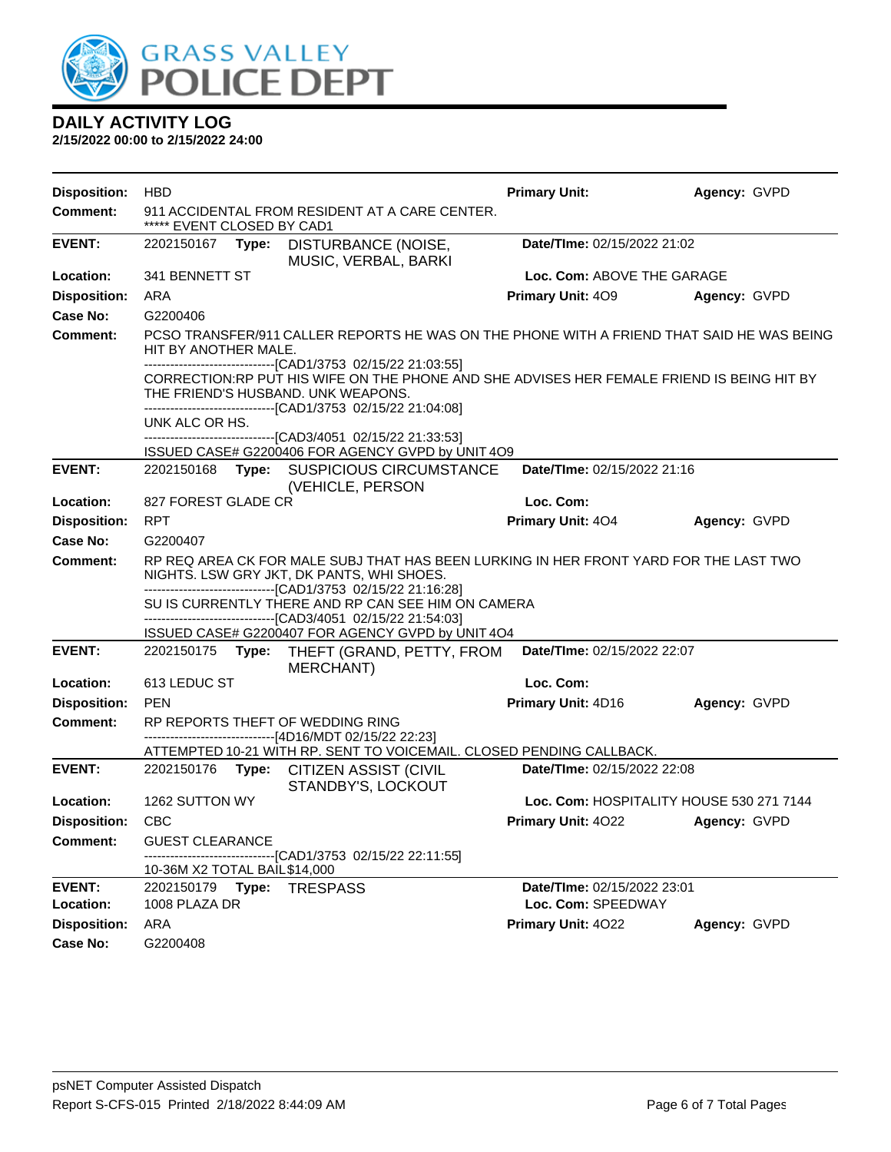

| <b>Disposition:</b>        | <b>HBD</b>                                                                                  |                                                                                                                                                                                                                                                                      | <b>Primary Unit:</b>                              | Agency: GVPD |
|----------------------------|---------------------------------------------------------------------------------------------|----------------------------------------------------------------------------------------------------------------------------------------------------------------------------------------------------------------------------------------------------------------------|---------------------------------------------------|--------------|
| <b>Comment:</b>            | ***** EVENT CLOSED BY CAD1                                                                  | 911 ACCIDENTAL FROM RESIDENT AT A CARE CENTER.                                                                                                                                                                                                                       |                                                   |              |
| <b>EVENT:</b>              | Type:<br>2202150167                                                                         | DISTURBANCE (NOISE,<br>MUSIC, VERBAL, BARKI                                                                                                                                                                                                                          | Date/TIme: 02/15/2022 21:02                       |              |
| Location:                  | 341 BENNETT ST<br>Loc. Com: ABOVE THE GARAGE                                                |                                                                                                                                                                                                                                                                      |                                                   |              |
| <b>Disposition:</b>        | ARA                                                                                         |                                                                                                                                                                                                                                                                      | <b>Primary Unit: 409</b>                          | Agency: GVPD |
| Case No:                   | G2200406                                                                                    |                                                                                                                                                                                                                                                                      |                                                   |              |
| <b>Comment:</b>            | HIT BY ANOTHER MALE.                                                                        | PCSO TRANSFER/911 CALLER REPORTS HE WAS ON THE PHONE WITH A FRIEND THAT SAID HE WAS BEING<br>-------------------------------[CAD1/3753_02/15/22_21:03:55]                                                                                                            |                                                   |              |
|                            | THE FRIEND'S HUSBAND. UNK WEAPONS.                                                          | CORRECTION:RP PUT HIS WIFE ON THE PHONE AND SHE ADVISES HER FEMALE FRIEND IS BEING HIT BY<br>-------------------------------[CAD1/3753_02/15/22 21:04:08]                                                                                                            |                                                   |              |
|                            | UNK ALC OR HS.                                                                              |                                                                                                                                                                                                                                                                      |                                                   |              |
|                            |                                                                                             | -------------------------------[CAD3/4051 02/15/22 21:33:53]<br>ISSUED CASE# G2200406 FOR AGENCY GVPD by UNIT 4O9                                                                                                                                                    |                                                   |              |
| <b>EVENT:</b>              |                                                                                             | 2202150168 Type: SUSPICIOUS CIRCUMSTANCE<br>(VEHICLE, PERSON                                                                                                                                                                                                         | Date/TIme: 02/15/2022 21:16                       |              |
| Location:                  | 827 FOREST GLADE CR                                                                         |                                                                                                                                                                                                                                                                      | Loc. Com:                                         |              |
| <b>Disposition:</b>        | <b>RPT</b>                                                                                  |                                                                                                                                                                                                                                                                      | Primary Unit: 404                                 | Agency: GVPD |
| Case No:                   | G2200407                                                                                    |                                                                                                                                                                                                                                                                      |                                                   |              |
| <b>Comment:</b>            | NIGHTS. LSW GRY JKT, DK PANTS, WHI SHOES.                                                   | RP REQ AREA CK FOR MALE SUBJ THAT HAS BEEN LURKING IN HER FRONT YARD FOR THE LAST TWO<br>-------------------------------[CAD1/3753_02/15/22_21:16:28]<br>SU IS CURRENTLY THERE AND RP CAN SEE HIM ON CAMERA<br>------------------------[CAD3/4051_02/15/22 21:54:03] |                                                   |              |
| <b>EVENT:</b>              | 2202150175 Type:                                                                            | ISSUED CASE# G2200407 FOR AGENCY GVPD by UNIT 4O4<br>THEFT (GRAND, PETTY, FROM                                                                                                                                                                                       | Date/TIme: 02/15/2022 22:07                       |              |
|                            |                                                                                             | MERCHANT)                                                                                                                                                                                                                                                            |                                                   |              |
| Location:                  | 613 LEDUC ST                                                                                |                                                                                                                                                                                                                                                                      | Loc. Com:                                         |              |
| <b>Disposition:</b>        | <b>PEN</b>                                                                                  |                                                                                                                                                                                                                                                                      | Primary Unit: 4D16                                | Agency: GVPD |
| <b>Comment:</b>            | RP REPORTS THEFT OF WEDDING RING<br>------------------------------[4D16/MDT 02/15/22 22:23] |                                                                                                                                                                                                                                                                      |                                                   |              |
| <b>EVENT:</b>              | 2202150176 Type: CITIZEN ASSIST (CIVIL                                                      | ATTEMPTED 10-21 WITH RP. SENT TO VOICEMAIL. CLOSED PENDING CALLBACK.                                                                                                                                                                                                 | Date/TIme: 02/15/2022 22:08                       |              |
|                            |                                                                                             | STANDBY'S, LOCKOUT                                                                                                                                                                                                                                                   |                                                   |              |
| Location:                  | 1262 SUTTON WY                                                                              |                                                                                                                                                                                                                                                                      | Loc. Com: HOSPITALITY HOUSE 530 271 7144          |              |
| <b>Disposition:</b>        | <b>CBC</b>                                                                                  |                                                                                                                                                                                                                                                                      | <b>Primary Unit: 4022</b>                         | Agency: GVPD |
| <b>Comment:</b>            | <b>GUEST CLEARANCE</b>                                                                      |                                                                                                                                                                                                                                                                      |                                                   |              |
|                            | 10-36M X2 TOTAL BAIL \$14,000                                                               | --[CAD1/3753 02/15/22 22:11:55]                                                                                                                                                                                                                                      |                                                   |              |
| <b>EVENT:</b><br>Location: | 2202150179<br>Type:<br>1008 PLAZA DR                                                        | <b>TRESPASS</b>                                                                                                                                                                                                                                                      | Date/TIme: 02/15/2022 23:01<br>Loc. Com: SPEEDWAY |              |
| <b>Disposition:</b>        | ARA                                                                                         |                                                                                                                                                                                                                                                                      | Primary Unit: 4022                                | Agency: GVPD |
| <b>Case No:</b>            | G2200408                                                                                    |                                                                                                                                                                                                                                                                      |                                                   |              |